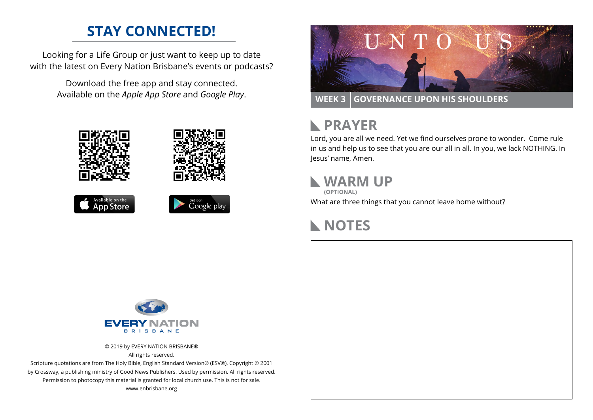### **STAY CONNECTED!**

Looking for a Life Group or just want to keep up to date with the latest on Every Nation Brisbane's events or podcasts?

> Download the free app and stay connected. Available on the *Apple App Store* and *Google Play*.











**WEEK 3 GOVERNANCE UPON HIS SHOULDERS**

# **RAYER**

Lord, you are all we need. Yet we find ourselves prone to wonder. Come rule in us and help us to see that you are our all in all. In you, we lack NOTHING. In Jesus' name, Amen.

## **WARM UP**

**(OPTIONAL)**

What are three things that you cannot leave home without?

## **NOTES**



© 2019 by EVERY NATION BRISBANE® All rights reserved.

Scripture quotations are from The Holy Bible, English Standard Version® (ESV®), Copyright © 2001 by Crossway, a publishing ministry of Good News Publishers. Used by permission. All rights reserved. Permission to photocopy this material is granted for local church use. This is not for sale. www.enbrisbane.org